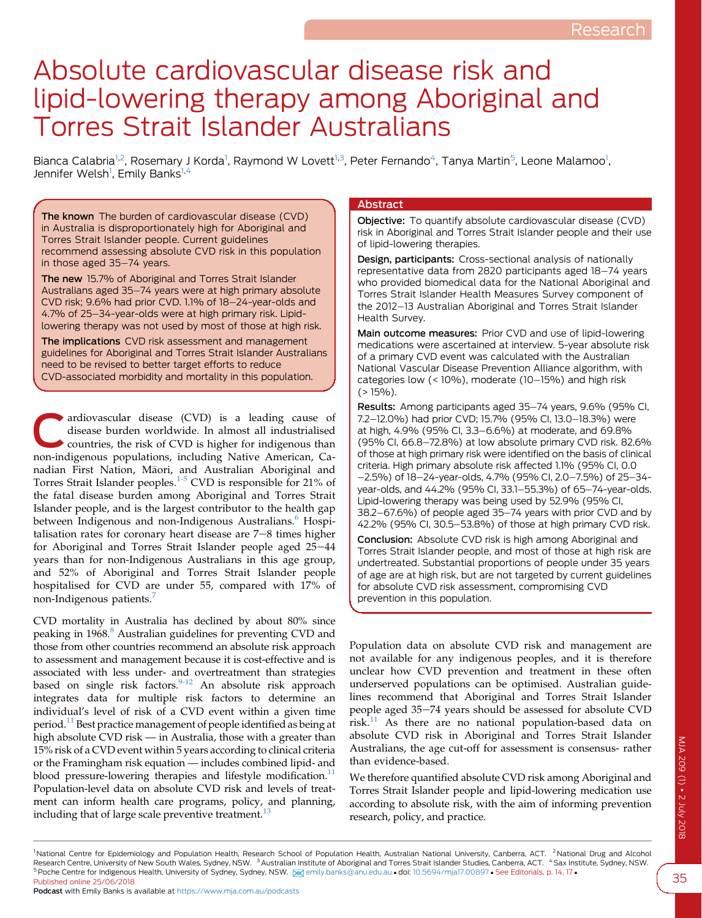# Absolute cardiovascular disease risk and lipid-lowering therapy among Aboriginal and Torres Strait Islander Australians

Bianca Calabria<sup>1,2</sup>, Rosemary J Korda<sup>1</sup>, Raymond W Lovett<sup>1,3</sup>, Peter Fernando<sup>4</sup>, Tanya Martin<sup>5</sup>, Leone Malamoo<sup>1</sup>, Jennifer Welsh<sup>1</sup>, Emily Banks<sup>1,4</sup>

The known The burden of cardiovascular disease (CVD) in Australia is disproportionately high for Aboriginal and Torres Strait Islander people. Current guidelines recommend assessing absolute CVD risk in this population in those aged 35-74 years.

The new 15.7% of Aboriginal and Torres Strait Islander Australians aged 35-74 years were at high primary absolute CVD risk; 9.6% had prior CVD. 1.1% of 18-24-year-olds and 4.7% of 25-34-year-olds were at high primary risk. Lipidlowering therapy was not used by most of those at high risk.

The implications CVD risk assessment and management guidelines for Aboriginal and Torres Strait Islander Australians need to be revised to better target efforts to reduce CVD-associated morbidity and mortality in this population.

ardiovascular disease (CVD) is a leading cause of disease burden worldwide. In almost all industrialised  $\bullet$  countries, the risk of CVD is higher for indigenous than non-indigenous populations, including Native American, Canadian First Nation, Maori, and Australian Aboriginal and Torres Strait Islander peoples.[1-5](#page-5-0) CVD is responsible for 21% of the fatal disease burden among Aboriginal and Torres Strait Islander people, and is the largest contributor to the health gap between Indigenous and non-Indigenous Australians.<sup>[6](#page-5-0)</sup> Hospitalisation rates for coronary heart disease are  $7-8$  times higher for Aboriginal and Torres Strait Islander people aged  $25-44$ years than for non-Indigenous Australians in this age group, and 52% of Aboriginal and Torres Strait Islander people hospitalised for CVD are under 55, compared with 17% of non-Indigenous patients.<sup>[7](#page-5-0)</sup>

CVD mortality in Australia has declined by about 80% since peaking in 196[8](#page-5-0).<sup>8</sup> Australian guidelines for preventing CVD and those from other countries recommend an absolute risk approach to assessment and management because it is cost-effective and is associated with less under- and overtreatment than strategies based on single risk factors.<sup>[9-12](#page-5-0)</sup> An absolute risk approach integrates data for multiple risk factors to determine an individual's level of risk of a CVD event within a given time period.[11](#page-5-0) Best practice management of people identified as being at high absolute CVD risk — in Australia, those with a greater than 15% risk of a CVD event within 5 years according to clinical criteria or the Framingham risk equation — includes combined lipid- and blood pressure-lowering therapies and lifestyle modification.<sup>[11](#page-5-0)</sup> Population-level data on absolute CVD risk and levels of treatment can inform health care programs, policy, and planning, including that of large scale preventive treatment.<sup>[13](#page-5-0)</sup>

## Abstract

Objective: To quantify absolute cardiovascular disease (CVD) risk in Aboriginal and Torres Strait Islander people and their use of lipid-lowering therapies.

Design, participants: Cross-sectional analysis of nationally representative data from 2820 participants aged 18-74 years who provided biomedical data for the National Aboriginal and Torres Strait Islander Health Measures Survey component of the 2012-13 Australian Aboriginal and Torres Strait Islander Health Survey.

Main outcome measures: Prior CVD and use of lipid-lowering medications were ascertained at interview. 5-year absolute risk of a primary CVD event was calculated with the Australian National Vascular Disease Prevention Alliance algorithm, with categories low  $($  < 10%), moderate  $(10-15%)$  and high risk  $($  > 15%).

Results: Among participants aged 35-74 years, 9.6% (95% CI, 7.2-12.0%) had prior CVD; 15.7% (95% CI, 13.0-18.3%) were at high, 4.9% (95% Cl, 3.3-6.6%) at moderate, and 69.8% (95% Cl, 66.8-72.8%) at low absolute primary CVD risk. 82.6% of those at high primary risk were identified on the basis of clinical criteria. High primary absolute risk affected 1.1% (95% CI, 0.0  $-2.5\%$ ) of 18 $-24$ -year-olds, 4.7% (95% CI, 2.0 $-7.5\%$ ) of 25 $-34$ year-olds, and 44.2% (95% CI, 33.1-55.3%) of 65-74-year-olds. Lipid-lowering therapy was being used by 52.9% (95% CI, 38.2-67.6%) of people aged 35-74 years with prior CVD and by 42.2% (95% CI, 30.5-53.8%) of those at high primary CVD risk.

Conclusion: Absolute CVD risk is high among Aboriginal and Torres Strait Islander people, and most of those at high risk are undertreated. Substantial proportions of people under 35 years of age are at high risk, but are not targeted by current guidelines for absolute CVD risk assessment, compromising CVD prevention in this population.

Population data on absolute CVD risk and management are not available for any indigenous peoples, and it is therefore unclear how CVD prevention and treatment in these often underserved populations can be optimised. Australian guidelines recommend that Aboriginal and Torres Strait Islander people aged 35-74 years should be assessed for absolute CVD  $risk<sup>11</sup>$  $risk<sup>11</sup>$  $risk<sup>11</sup>$  As there are no national population-based data on absolute CVD risk in Aboriginal and Torres Strait Islander Australians, the age cut-off for assessment is consensus- rather than evidence-based.

We therefore quantified absolute CVD risk among Aboriginal and Torres Strait Islander people and lipid-lowering medication use according to absolute risk, with the aim of informing prevention research, policy, and practice.

<sup>&</sup>lt;sup>1</sup> National Centre for Epidemiology and Population Health, Research School of Population Health, Australian National University, Canberra, ACT. <sup>2</sup> National Drug and Alcohol Research Centre, University of New South Wales, Sydney, NSW. <sup>3</sup> Australian Institute of Aboriginal and Torres Strait Islander Studies, Canberra, ACT. <sup>4</sup> Sax Institute, Sydney, NSW. 5 Poche Centre for Indigenous Health, University of Sydney, Sydney, NSW. [X] [emily.banks@anu.edu.au](mailto:emily.banks@anu.edu.au) doi: [10.5694/mja17.00897](https://doi.org/10.5694/mja17.00897) · See Editorials, p. 14, 17 · Published online 25/06/2018

Podcast with Emily Banks is available at <https://www.mja.com.au/podcasts>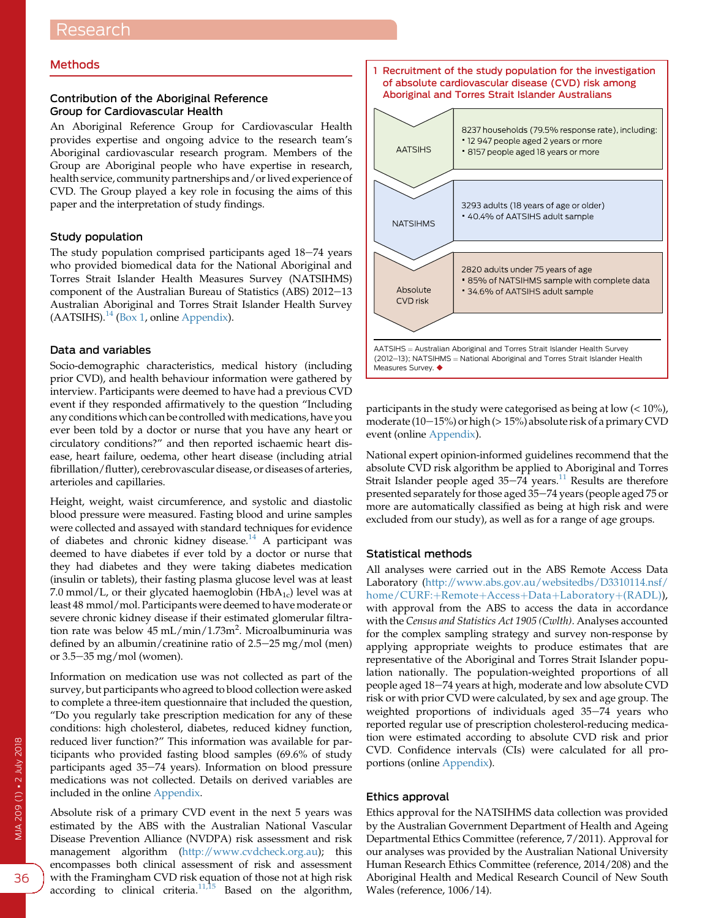## Methods

## Contribution of the Aboriginal Reference Group for Cardiovascular Health

An Aboriginal Reference Group for Cardiovascular Health provides expertise and ongoing advice to the research team's Aboriginal cardiovascular research program. Members of the Group are Aboriginal people who have expertise in research, health service, community partnerships and/or lived experience of CVD. The Group played a key role in focusing the aims of this paper and the interpretation of study findings.

## Study population

The study population comprised participants aged  $18-74$  years who provided biomedical data for the National Aboriginal and Torres Strait Islander Health Measures Survey (NATSIHMS) component of the Australian Bureau of Statistics (ABS) 2012-13 Australian Aboriginal and Torres Strait Islander Health Survey  $(AATSIHS).$ <sup>[14](#page-5-0)</sup> (Box 1, online [Appendix](https://www.mja.com.au/sites/default/files/issues/209_01/10.5694mja17.00897_Appendix.pdf)).

## Data and variables

Socio-demographic characteristics, medical history (including prior CVD), and health behaviour information were gathered by interview. Participants were deemed to have had a previous CVD event if they responded affirmatively to the question "Including any conditions which can be controlled with medications, have you ever been told by a doctor or nurse that you have any heart or circulatory conditions?" and then reported ischaemic heart disease, heart failure, oedema, other heart disease (including atrial fibrillation/flutter), cerebrovascular disease, or diseases of arteries, arterioles and capillaries.

Height, weight, waist circumference, and systolic and diastolic blood pressure were measured. Fasting blood and urine samples were collected and assayed with standard techniques for evidence of diabetes and chronic kidney disease.[14](#page-5-0) A participant was deemed to have diabetes if ever told by a doctor or nurse that they had diabetes and they were taking diabetes medication (insulin or tablets), their fasting plasma glucose level was at least 7.0 mmol/L, or their glycated haemoglobin (HbA<sub>1c</sub>) level was at least 48 mmol/mol. Participants were deemed to have moderate or severe chronic kidney disease if their estimated glomerular filtration rate was below 45 mL/min/1.73m<sup>2</sup>. Microalbuminuria was defined by an albumin/creatinine ratio of  $2.5-25$  mg/mol (men) or  $3.5-35$  mg/mol (women).

Information on medication use was not collected as part of the survey, but participants who agreed to blood collection were asked to complete a three-item questionnaire that included the question, "Do you regularly take prescription medication for any of these conditions: high cholesterol, diabetes, reduced kidney function, reduced liver function?" This information was available for participants who provided fasting blood samples (69.6% of study participants aged 35-74 years). Information on blood pressure medications was not collected. Details on derived variables are included in the online [Appendix.](https://www.mja.com.au/sites/default/files/issues/209_01/10.5694mja17.00897_Appendix.pdf)

Absolute risk of a primary CVD event in the next 5 years was estimated by the ABS with the Australian National Vascular Disease Prevention Alliance (NVDPA) risk assessment and risk management algorithm ([http://www.cvdcheck.org.au\)](http://www.cvdcheck.org.au); this encompasses both clinical assessment of risk and assessment with the Framingham CVD risk equation of those not at high risk according to clinical criteria. $11,15$  Based on the algorithm,



participants in the study were categorised as being at low  $(< 10\%)$ , moderate (10-15%) or high ( $> 15%$ ) absolute risk of a primary CVD event (online [Appendix](https://www.mja.com.au/sites/default/files/issues/209_01/10.5694mja17.00897_Appendix.pdf)).

National expert opinion-informed guidelines recommend that the absolute CVD risk algorithm be applied to Aboriginal and Torres Strait Islander people aged  $35-74$  years.<sup>[11](#page-5-0)</sup> Results are therefore presented separately for those aged  $35-74$  years (people aged 75 or more are automatically classified as being at high risk and were excluded from our study), as well as for a range of age groups.

# Statistical methods

All analyses were carried out in the ABS Remote Access Data Laboratory [\(http://www.abs.gov.au/websitedbs/D3310114.nsf/](http://www.abs.gov.au/websitedbs/D3310114.nsf/home/CURF:+Remote+Access+Data+Laboratory+(RADL)) [home/CURF:](http://www.abs.gov.au/websitedbs/D3310114.nsf/home/CURF:+Remote+Access+Data+Laboratory+(RADL))+[Remote](http://www.abs.gov.au/websitedbs/D3310114.nsf/home/CURF:+Remote+Access+Data+Laboratory+(RADL))+[Access](http://www.abs.gov.au/websitedbs/D3310114.nsf/home/CURF:+Remote+Access+Data+Laboratory+(RADL))+[Data](http://www.abs.gov.au/websitedbs/D3310114.nsf/home/CURF:+Remote+Access+Data+Laboratory+(RADL))+[Laboratory](http://www.abs.gov.au/websitedbs/D3310114.nsf/home/CURF:+Remote+Access+Data+Laboratory+(RADL))+[\(RADL\)](http://www.abs.gov.au/websitedbs/D3310114.nsf/home/CURF:+Remote+Access+Data+Laboratory+(RADL))), with approval from the ABS to access the data in accordance with the Census and Statistics Act 1905 (Cwlth). Analyses accounted for the complex sampling strategy and survey non-response by applying appropriate weights to produce estimates that are representative of the Aboriginal and Torres Strait Islander population nationally. The population-weighted proportions of all people aged 18-74 years at high, moderate and low absolute CVD risk or with prior CVD were calculated, by sex and age group. The weighted proportions of individuals aged 35-74 years who reported regular use of prescription cholesterol-reducing medication were estimated according to absolute CVD risk and prior CVD. Confidence intervals (CIs) were calculated for all proportions (online [Appendix\)](https://www.mja.com.au/sites/default/files/issues/209_01/10.5694mja17.00897_Appendix.pdf).

#### Ethics approval

Ethics approval for the NATSIHMS data collection was provided by the Australian Government Department of Health and Ageing Departmental Ethics Committee (reference, 7/2011). Approval for our analyses was provided by the Australian National University Human Research Ethics Committee (reference, 2014/208) and the Aboriginal Health and Medical Research Council of New South Wales (reference, 1006/14).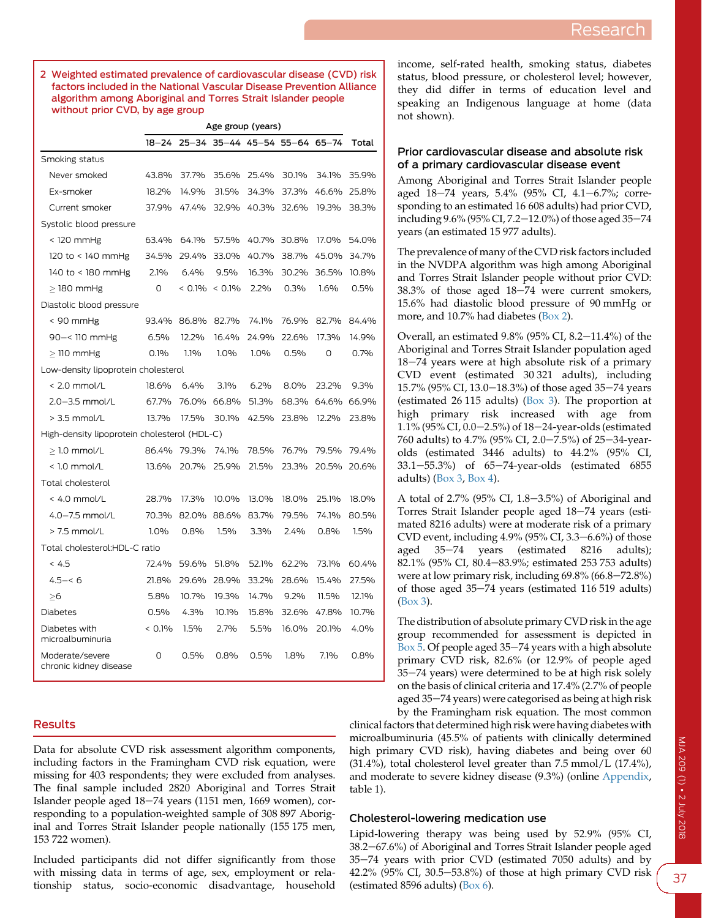2 Weighted estimated prevalence of cardiovascular disease (CVD) risk factors included in the National Vascular Disease Prevention Alliance algorithm among Aboriginal and Torres Strait Islander people without prior CVD, by age group

|                                           | Age group (years)                            |       |                                     |       |         |             |       |  |  |
|-------------------------------------------|----------------------------------------------|-------|-------------------------------------|-------|---------|-------------|-------|--|--|
|                                           |                                              |       | 18-24 25-34 35-44 45-54 55-64 65-74 |       |         |             | Total |  |  |
| Smoking status                            |                                              |       |                                     |       |         |             |       |  |  |
| Never smoked                              | 43.8%                                        | 37.7% | 35.6%                               | 25.4% | 30.1%   | 34.1%       | 35.9% |  |  |
| Ex-smoker                                 | 18.2%                                        | 14.9% | 31.5%                               | 34.3% | 37.3%   | 46.6%       | 25.8% |  |  |
| Current smoker                            | 37.9%                                        | 47.4% | 32.9%                               | 40.3% | 32.6%   | 19.3%       | 38.3% |  |  |
| Systolic blood pressure                   |                                              |       |                                     |       |         |             |       |  |  |
| $<$ 120 mmHg                              | 63.4%                                        | 64.1% | 57.5%                               | 40.7% | 30.8%   | 17.0%       | 54.0% |  |  |
| 120 to < 140 mmHg                         | 34.5%                                        | 29.4% | 33.0%                               | 40.7% | 38.7%   | 45.0%       | 34.7% |  |  |
| 140 to < 180 mmHg                         | 2.1%                                         | 6.4%  | $9.5\%$                             | 16.3% | 30.2%   | 36.5%       | 10.8% |  |  |
| $>$ 180 mmHg                              | O                                            |       | $< 0.1\% < 0.1\%$                   | 2.2%  | 0.3%    | 1.6%        | 0.5%  |  |  |
| Diastolic blood pressure                  |                                              |       |                                     |       |         |             |       |  |  |
| $< 90$ mmHg                               | 93.4%                                        | 86.8% | 82.7%                               | 74.1% | 76.9%   | 82.7%       | 84.4% |  |  |
| $90 - 110$ mmHg                           | 6.5%                                         | 12.2% | 16.4%                               | 24.9% | 22.6%   | 17.3%       | 14.9% |  |  |
| $\geq$ 110 mmHg                           | 0.1%                                         | 1.1%  | 1.0%                                | 1.0%  | 0.5%    | $\circ$     | 0.7%  |  |  |
| Low-density lipoprotein cholesterol       |                                              |       |                                     |       |         |             |       |  |  |
| $< 2.0$ mmol/L                            | 18.6%                                        | 6.4%  | 3.1%                                | 6.2%  | 8.0%    | 23.2%       | 9.3%  |  |  |
| $2.0 - 3.5$ mmol/L                        | 67.7%                                        |       | 76.0% 66.8%                         | 51.3% | 68.3%   | 64.6% 66.9% |       |  |  |
| $> 3.5$ mmol/L                            | 13.7%                                        | 17.5% | 30.1%                               | 42.5% | 23.8%   | 12.2%       | 23.8% |  |  |
|                                           | High-density lipoprotein cholesterol (HDL-C) |       |                                     |       |         |             |       |  |  |
| $\geq$ 1.0 mmol/L                         | 86.4%                                        | 79.3% | 74.1%                               | 78.5% | 76.7%   | 79.5%       | 79.4% |  |  |
| $<$ 1.0 mmol/L                            | 13.6%                                        | 20.7% | 25.9%                               | 21.5% | 23.3%   | 20.5%       | 20.6% |  |  |
| Total cholesterol                         |                                              |       |                                     |       |         |             |       |  |  |
| $< 4.0$ mmol/L                            | 28.7%                                        | 17.3% | 10.0%                               | 13.0% | 18.0%   | 25.1%       | 18.0% |  |  |
| $4.0 - 7.5$ mmol/L                        | 70.3%                                        | 82.0% | 88.6%                               | 83.7% | 79.5%   | 74.1%       | 80.5% |  |  |
| $> 7.5$ mmol/L                            | 1.0%                                         | 0.8%  | $1.5\%$                             | 3.3%  | 2.4%    | 0.8%        | 1.5%  |  |  |
| Total cholesterol:HDL-C ratio             |                                              |       |                                     |       |         |             |       |  |  |
| < 4.5                                     | 72.4%                                        | 59.6% | 51.8%                               | 52.1% | 62.2%   | 73.1%       | 60.4% |  |  |
| $4.5 - 6$                                 | 21.8%                                        | 29.6% | 28.9%                               | 33.2% | 28.6%   | 15.4%       | 27.5% |  |  |
| >16                                       | 5.8%                                         | 10.7% | 19.3%                               | 14.7% | $9.2\%$ | 11.5%       | 12.1% |  |  |
| <b>Diabetes</b>                           | 0.5%                                         | 4.3%  | 10.1%                               | 15.8% | 32.6%   | 47.8%       | 10.7% |  |  |
| Diabetes with<br>microalbuminuria         | $< 0.1\%$                                    | 1.5%  | 2.7%                                | 5.5%  | 16.0%   | 20.1%       | 4.0%  |  |  |
| Moderate/severe<br>chronic kidney disease | 0                                            | 0.5%  | 0.8%                                | 0.5%  | 1.8%    | 7.1%        | 0.8%  |  |  |

# Results

Data for absolute CVD risk assessment algorithm components, including factors in the Framingham CVD risk equation, were missing for 403 respondents; they were excluded from analyses. The final sample included 2820 Aboriginal and Torres Strait Islander people aged  $18-74$  years (1151 men, 1669 women), corresponding to a population-weighted sample of 308 897 Aboriginal and Torres Strait Islander people nationally (155 175 men, 153 722 women).

Included participants did not differ significantly from those with missing data in terms of age, sex, employment or relationship status, socio-economic disadvantage, household

income, self-rated health, smoking status, diabetes status, blood pressure, or cholesterol level; however, they did differ in terms of education level and speaking an Indigenous language at home (data not shown).

## Prior cardiovascular disease and absolute risk of a primary cardiovascular disease event

Among Aboriginal and Torres Strait Islander people aged 18-74 years, 5.4% (95% CI, 4.1-6.7%; corresponding to an estimated 16 608 adults) had prior CVD, including  $9.6\%$  ( $95\%$  CI,  $7.2-12.0\%$ ) of those aged  $35-74$ years (an estimated 15 977 adults).

The prevalence of many of the CVD risk factors included in the NVDPA algorithm was high among Aboriginal and Torres Strait Islander people without prior CVD:  $38.3\%$  of those aged  $18-74$  were current smokers, 15.6% had diastolic blood pressure of 90 mmHg or more, and 10.7% had diabetes (Box 2).

Overall, an estimated  $9.8\%$  (95% CI, 8.2-11.4%) of the Aboriginal and Torres Strait Islander population aged  $18-74$  years were at high absolute risk of a primary CVD event (estimated 30 321 adults), including 15.7% (95% CI, 13.0–18.3%) of those aged 35–74 years (estimated 26 115 adults) ([Box 3](#page-3-0)). The proportion at high primary risk increased with age from 1.1% (95% CI, 0.0-2.5%) of 18-24-year-olds (estimated 760 adults) to 4.7% (95% CI, 2.0–7.5%) of 25–34-yearolds (estimated 3446 adults) to 44.2% (95% CI, 33.1-55.3%) of 65-74-year-olds (estimated 6855 adults) [\(Box 3](#page-3-0), [Box 4\)](#page-4-0).

A total of 2.7% (95% CI,  $1.8-3.5%$ ) of Aboriginal and Torres Strait Islander people aged 18-74 years (estimated 8216 adults) were at moderate risk of a primary CVD event, including  $4.9\%$  (95% CI, 3.3-6.6%) of those aged  $35-74$  years (estimated  $8216$  adults); 82.1% (95% CI, 80.4-83.9%; estimated 253 753 adults) were at low primary risk, including 69.8% (66.8-72.8%) of those aged  $35-74$  years (estimated  $116\,519$  adults) [\(Box 3\)](#page-3-0).

The distribution of absolute primary CVD risk in the age group recommended for assessment is depicted in Box  $\bar{5}$ . Of people aged 35-74 years with a high absolute primary CVD risk, 82.6% (or 12.9% of people aged 35–74 years) were determined to be at high risk solely on the basis of clinical criteria and 17.4% (2.7% of people aged 35-74 years) were categorised as being at high risk by the Framingham risk equation. The most common

clinical factors that determined high risk were having diabetes with microalbuminuria (45.5% of patients with clinically determined high primary CVD risk), having diabetes and being over 60  $(31.4\%)$ , total cholesterol level greater than  $7.5$  mmol/L  $(17.4\%)$ , and moderate to severe kidney disease (9.3%) (online [Appendix](https://www.mja.com.au/sites/default/files/issues/209_01/10.5694mja17.00897_Appendix.pdf), table 1).

## Cholesterol-lowering medication use

Lipid-lowering therapy was being used by 52.9% (95% CI, 38.2–67.6%) of Aboriginal and Torres Strait Islander people aged 35-74 years with prior CVD (estimated 7050 adults) and by 42.2% (95% CI, 30.5-53.8%) of those at high primary CVD risk (estimated 8596 adults) [\(Box 6\)](#page-5-0).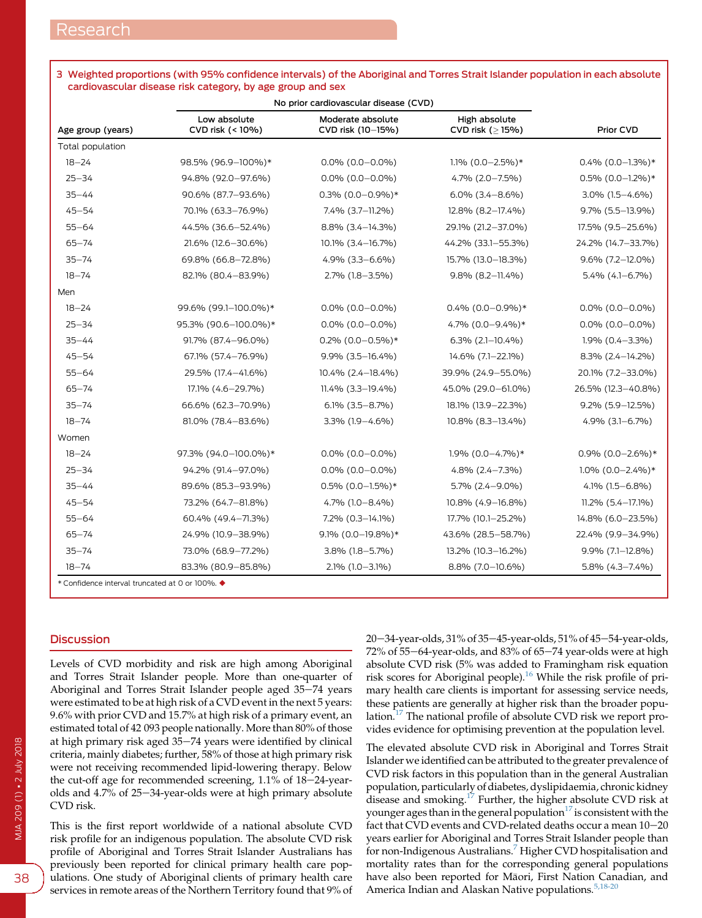|                   | No prior cardiovascular disease (CVD) |                                        |                                         |                      |  |
|-------------------|---------------------------------------|----------------------------------------|-----------------------------------------|----------------------|--|
| Age group (years) | Low absolute<br>CVD risk (< 10%)      | Moderate absolute<br>CVD risk (10-15%) | High absolute<br>CVD risk ( $\geq$ 15%) | Prior CVD            |  |
| Total population  |                                       |                                        |                                         |                      |  |
| $18 - 24$         | 98.5% (96.9-100%)*                    | $0.0\%$ (0.0-0.0%)                     | $1.1\%$ (0.0-2.5%)*                     | $0.4\%$ (0.0-1.3%)*  |  |
| $25 - 34$         | 94.8% (92.0-97.6%)                    | $0.0\%$ (0.0-0.0%)                     | 4.7% (2.0-7.5%)                         | $0.5\%$ (0.0-1.2%)*  |  |
| $35 - 44$         | 90.6% (87.7-93.6%)                    | $0.3\%$ (0.0-0.9%)*                    | $6.0\%$ $(3.4 - 8.6\%)$                 | 3.0% (1.5-4.6%)      |  |
| $45 - 54$         | 70.1% (63.3-76.9%)                    | 7.4% (3.7-11.2%)                       | 12.8% (8.2-17.4%)                       | 9.7% (5.5-13.9%)     |  |
| $55 - 64$         | 44.5% (36.6-52.4%)                    | 8.8% (3.4-14.3%)                       | 29.1% (21.2-37.0%)                      | 17.5% (9.5-25.6%)    |  |
| $65 - 74$         | 21.6% (12.6-30.6%)                    | 10.1% (3.4-16.7%)                      | 44.2% (33.1-55.3%)                      | 24.2% (14.7-33.7%)   |  |
| $35 - 74$         | 69.8% (66.8-72.8%)                    | $4.9\%$ (3.3-6.6%)                     | 15.7% (13.0-18.3%)                      | $9.6\%$ (7.2-12.0%)  |  |
| $18 - 74$         | 82.1% (80.4-83.9%)                    | $2.7\%$ (1.8-3.5%)                     | 9.8% (8.2-11.4%)                        | $5.4\%$ (4.1-6.7%)   |  |
| Men               |                                       |                                        |                                         |                      |  |
| $18 - 24$         | 99.6% (99.1-100.0%)*                  | $0.0\%$ (0.0-0.0%)                     | $0.4\%$ (0.0-0.9%)*                     | $0.0\%$ (0.0-0.0%)   |  |
| $25 - 34$         | 95.3% (90.6-100.0%)*                  | $0.0\%$ (0.0-0.0%)                     | 4.7% (0.0-9.4%)*                        | $0.0\%$ (0.0-0.0%)   |  |
| $35 - 44$         | 91.7% (87.4-96.0%)                    | $0.2\%$ (0.0-0.5%)*                    | $6.3\%$ (2.1-10.4%)                     | 1.9% (0.4-3.3%)      |  |
| $45 - 54$         | 67.1% (57.4-76.9%)                    | 9.9% (3.5-16.4%)                       | 14.6% (7.1-22.1%)                       | $8.3\%$ (2.4-14.2%)  |  |
| $55 - 64$         | 29.5% (17.4-41.6%)                    | 10.4% (2.4-18.4%)                      | 39.9% (24.9-55.0%)                      | 20.1% (7.2-33.0%)    |  |
| $65 - 74$         | 17.1% (4.6–29.7%)                     | $11.4\%$ (3.3–19.4%)                   | 45.0% (29.0-61.0%)                      | 26.5% (12.3-40.8%)   |  |
| $35 - 74$         | 66.6% (62.3-70.9%)                    | $6.1\%$ (3.5-8.7%)                     | 18.1% (13.9 - 22.3%)                    | $9.2\%$ (5.9-12.5%)  |  |
| $18 - 74$         | 81.0% (78.4-83.6%)                    | 3.3% (1.9-4.6%)                        | 10.8% (8.3-13.4%)                       | 4.9% (3.1-6.7%)      |  |
| Women             |                                       |                                        |                                         |                      |  |
| $18 - 24$         | 97.3% (94.0-100.0%)*                  | $0.0\%$ (0.0-0.0%)                     | $1.9\%$ (0.0-4.7%)*                     | $0.9\%$ (0.0-2.6%)*  |  |
| $25 - 34$         | 94.2% (91.4-97.0%)                    | $0.0\%$ (0.0-0.0%)                     | $4.8\%$ (2.4-7.3%)                      | $1.0\%$ (0.0-2.4%)*  |  |
| $35 - 44$         | 89.6% (85.3-93.9%)                    | $0.5\%$ (0.0-1.5%)*                    | $5.7\%$ (2.4-9.0%)                      | $4.1\%$ (1.5-6.8%)   |  |
| $45 - 54$         | 73.2% (64.7-81.8%)                    | $4.7\%$ (1.0-8.4%)                     | 10.8% (4.9-16.8%)                       | $11.2\%$ (5.4-17.1%) |  |
| $55 - 64$         | 60.4% (49.4-71.3%)                    | 7.2% (0.3-14.1%)                       | 17.7% (10.1-25.2%)                      | 14.8% (6.0-23.5%)    |  |
| $65 - 74$         | 24.9% (10.9-38.9%)                    | 9.1% (0.0-19.8%)*                      | 43.6% (28.5-58.7%)                      | 22.4% (9.9-34.9%)    |  |
| $35 - 74$         | 73.0% (68.9-77.2%)                    | 3.8% (1.8-5.7%)                        | 13.2% (10.3-16.2%)                      | 9.9% (7.1-12.8%)     |  |
| $18 - 74$         | 83.3% (80.9-85.8%)                    | 2.1% (1.0-3.1%)                        | 8.8% (7.0-10.6%)                        | $5.8\%$ (4.3-7.4%)   |  |

## <span id="page-3-0"></span>3 Weighted proportions (with 95% confidence intervals) of the Aboriginal and Torres Strait Islander population in each absolute cardiovascular disease risk category, by age group and sex

## **Discussion**

Levels of CVD morbidity and risk are high among Aboriginal and Torres Strait Islander people. More than one-quarter of Aboriginal and Torres Strait Islander people aged 35-74 years were estimated to be at high risk of a CVD event in the next 5 years: 9.6% with prior CVD and 15.7% at high risk of a primary event, an estimated total of 42 093 people nationally. More than 80% of those at high primary risk aged 35-74 years were identified by clinical criteria, mainly diabetes; further, 58% of those at high primary risk were not receiving recommended lipid-lowering therapy. Below the cut-off age for recommended screening,  $1.1\%$  of  $18-24$ -yearolds and  $4.7\%$  of  $25-34$ -year-olds were at high primary absolute CVD risk.

This is the first report worldwide of a national absolute CVD risk profile for an indigenous population. The absolute CVD risk profile of Aboriginal and Torres Strait Islander Australians has previously been reported for clinical primary health care populations. One study of Aboriginal clients of primary health care services in remote areas of the Northern Territory found that 9% of  $20 - 34$ -year-olds,  $31\%$  of  $35 - 45$ -year-olds,  $51\%$  of  $45 - 54$ -year-olds,  $72\%$  of  $55-64$ -year-olds, and  $83\%$  of  $65-74$  year-olds were at high absolute CVD risk (5% was added to Framingham risk equation risk scores for Aboriginal people).[16](#page-5-0) While the risk profile of primary health care clients is important for assessing service needs, these patients are generally at higher risk than the broader popu-lation.<sup>[17](#page-5-0)</sup> The national profile of absolute CVD risk we report provides evidence for optimising prevention at the population level.

The elevated absolute CVD risk in Aboriginal and Torres Strait Islander we identified can be attributed to the greater prevalence of CVD risk factors in this population than in the general Australian population, particularly of diabetes, dyslipidaemia, chronic kidney disease and smoking.[17](#page-5-0) Further, the higher absolute CVD risk at younger ages than in the general population $17$  is consistent with the fact that CVD events and CVD-related deaths occur a mean  $10-20$ years earlier for Aboriginal and Torres Strait Islander people than for non-Indigenous Australians.<sup>[7](#page-5-0)</sup> Higher CVD hospitalisation and mortality rates than for the corresponding general populations have also been reported for Māori, First Nation Canadian, and America Indian and Alaskan Native populations.<sup>[5,18-20](#page-5-0)</sup>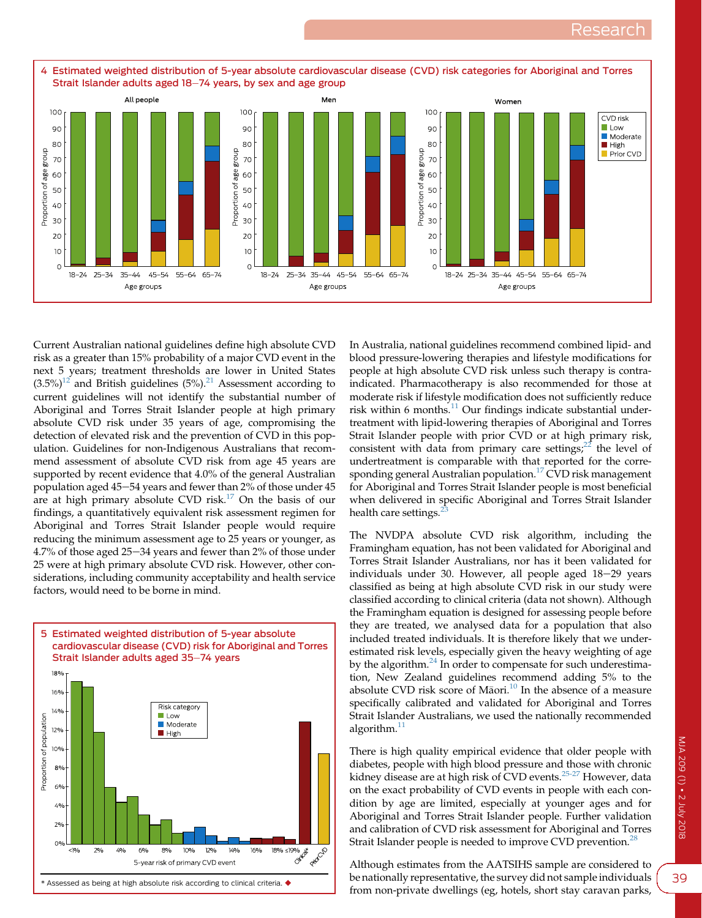<span id="page-4-0"></span>

Current Australian national guidelines define high absolute CVD risk as a greater than 15% probability of a major CVD event in the next 5 years; treatment thresholds are lower in United States  $(3.5%)^{12}$  $(3.5%)^{12}$  $(3.5%)^{12}$  and British guidelines  $(5%)^{21}$  $(5%)^{21}$  $(5%)^{21}$  Assessment according to current guidelines will not identify the substantial number of Aboriginal and Torres Strait Islander people at high primary absolute CVD risk under 35 years of age, compromising the detection of elevated risk and the prevention of CVD in this population. Guidelines for non-Indigenous Australians that recommend assessment of absolute CVD risk from age 45 years are supported by recent evidence that 4.0% of the general Australian population aged 45-54 years and fewer than  $2\%$  of those under 45 are at high primary absolute CVD risk.<sup>[17](#page-5-0)</sup> On the basis of our findings, a quantitatively equivalent risk assessment regimen for Aboriginal and Torres Strait Islander people would require reducing the minimum assessment age to 25 years or younger, as  $4.7\%$  of those aged  $25-34$  years and fewer than  $2\%$  of those under 25 were at high primary absolute CVD risk. However, other considerations, including community acceptability and health service factors, would need to be borne in mind.



In Australia, national guidelines recommend combined lipid- and blood pressure-lowering therapies and lifestyle modifications for people at high absolute CVD risk unless such therapy is contraindicated. Pharmacotherapy is also recommended for those at moderate risk if lifestyle modification does not sufficiently reduce risk within 6 months. $^{11}$  $^{11}$  $^{11}$  Our findings indicate substantial undertreatment with lipid-lowering therapies of Aboriginal and Torres Strait Islander people with prior CVD or at high primary risk, consistent with data from primary care settings; $^{22}$  the level of undertreatment is comparable with that reported for the corre-sponding general Australian population.<sup>[17](#page-5-0)</sup> CVD risk management for Aboriginal and Torres Strait Islander people is most beneficial when delivered in specific Aboriginal and Torres Strait Islander health care settings.<sup>2</sup>

The NVDPA absolute CVD risk algorithm, including the Framingham equation, has not been validated for Aboriginal and Torres Strait Islander Australians, nor has it been validated for individuals under 30. However, all people aged  $18-29$  years classified as being at high absolute CVD risk in our study were classified according to clinical criteria (data not shown). Although the Framingham equation is designed for assessing people before they are treated, we analysed data for a population that also included treated individuals. It is therefore likely that we underestimated risk levels, especially given the heavy weighting of age by the algorithm.<sup>[24](#page-6-0)</sup> In order to compensate for such underestimation, New Zealand guidelines recommend adding 5% to the absolute CVD risk score of Māori.<sup>10</sup> In the absence of a measure specifically calibrated and validated for Aboriginal and Torres Strait Islander Australians, we used the nationally recommended algorithm.<sup>11</sup>

There is high quality empirical evidence that older people with diabetes, people with high blood pressure and those with chronic kidney disease are at high risk of CVD events.<sup>[25-27](#page-6-0)</sup> However, data on the exact probability of CVD events in people with each condition by age are limited, especially at younger ages and for Aboriginal and Torres Strait Islander people. Further validation and calibration of CVD risk assessment for Aboriginal and Torres Strait Islander people is needed to improve CVD prevention.<sup>[28](#page-6-0)</sup>

Although estimates from the AATSIHS sample are considered to be nationally representative, the survey did not sample individuals from non-private dwellings (eg, hotels, short stay caravan parks,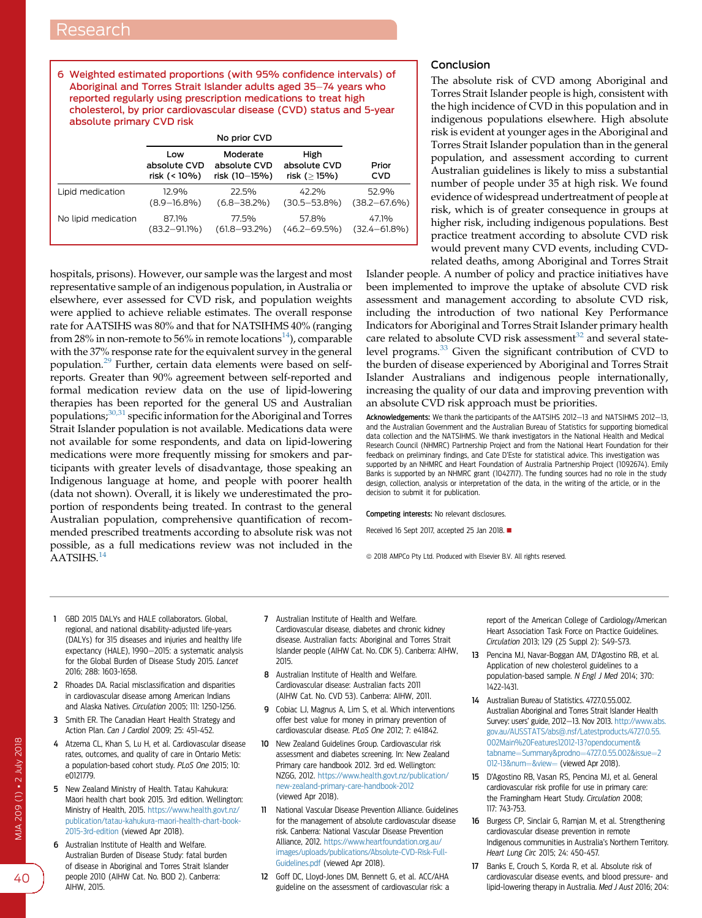<span id="page-5-0"></span>6 Weighted estimated proportions (with 95% confidence intervals) of Aboriginal and Torres Strait Islander adults aged 35-74 years who reported regularly using prescription medications to treat high cholesterol, by prior cardiovascular disease (CVD) status and 5-year absolute primary CVD risk

|                     | Low<br>absolute CVD<br>risk (< 10%) | Moderate<br>absolute CVD<br>risk (10-15%) | High<br>absolute CVD<br>risk (> 15%) | Prior<br><b>CVD</b> |
|---------------------|-------------------------------------|-------------------------------------------|--------------------------------------|---------------------|
| Lipid medication    | 12.9%                               | 22.5%                                     | 42.2%                                | 52.9%               |
|                     | $(8.9 - 16.8\%)$                    | $(6.8 - 38.2\%)$                          | $(30.5 - 53.8\%)$                    | $(38.2 - 67.6%)$    |
| No lipid medication | 87.1%                               | 77.5%                                     | 57.8%                                | 47.1%               |
|                     | $(83.2 - 91.1\%)$                   | $(61.8 - 93.2\%)$                         | $(46.2 - 69.5\%)$                    | $(32.4 - 61.8\%)$   |

hospitals, prisons). However, our sample was the largest and most representative sample of an indigenous population, in Australia or elsewhere, ever assessed for CVD risk, and population weights were applied to achieve reliable estimates. The overall response rate for AATSIHS was 80% and that for NATSIHMS 40% (ranging from 28% in non-remote to 56% in remote locations<sup>14</sup>), comparable with the 37% response rate for the equivalent survey in the general population.[29](#page-6-0) Further, certain data elements were based on selfreports. Greater than 90% agreement between self-reported and formal medication review data on the use of lipid-lowering therapies has been reported for the general US and Australian populations;<sup>[30,31](#page-6-0)</sup> specific information for the Aboriginal and Torres Strait Islander population is not available. Medications data were not available for some respondents, and data on lipid-lowering medications were more frequently missing for smokers and participants with greater levels of disadvantage, those speaking an Indigenous language at home, and people with poorer health (data not shown). Overall, it is likely we underestimated the proportion of respondents being treated. In contrast to the general Australian population, comprehensive quantification of recommended prescribed treatments according to absolute risk was not possible, as a full medications review was not included in the AATSIHS.<sup>14</sup>

## Conclusion

The absolute risk of CVD among Aboriginal and Torres Strait Islander people is high, consistent with the high incidence of CVD in this population and in indigenous populations elsewhere. High absolute risk is evident at younger ages in the Aboriginal and Torres Strait Islander population than in the general population, and assessment according to current Australian guidelines is likely to miss a substantial number of people under 35 at high risk. We found evidence of widespread undertreatment of people at risk, which is of greater consequence in groups at higher risk, including indigenous populations. Best practice treatment according to absolute CVD risk would prevent many CVD events, including CVDrelated deaths, among Aboriginal and Torres Strait

Islander people. A number of policy and practice initiatives have been implemented to improve the uptake of absolute CVD risk assessment and management according to absolute CVD risk, including the introduction of two national Key Performance Indicators for Aboriginal and Torres Strait Islander primary health care related to absolute CVD risk assessment<sup>[32](#page-6-0)</sup> and several state-level programs.<sup>[33](#page-6-0)</sup> Given the significant contribution of CVD to the burden of disease experienced by Aboriginal and Torres Strait Islander Australians and indigenous people internationally, increasing the quality of our data and improving prevention with an absolute CVD risk approach must be priorities.

Acknowledgements: We thank the participants of the AATSIHS 2012-13 and NATSIHMS 2012-13. and the Australian Government and the Australian Bureau of Statistics for supporting biomedical data collection and the NATSIHMS. We thank investigators in the National Health and Medical Research Council (NHMRC) Partnership Project and from the National Heart Foundation for their feedback on preliminary findings, and Cate D'Este for statistical advice. This investigation was supported by an NHMRC and Heart Foundation of Australia Partnership Project (1092674). Emily Banks is supported by an NHMRC grant (1042717). The funding sources had no role in the study design, collection, analysis or interpretation of the data, in the writing of the article, or in the decision to submit it for publication.

#### Competing interests: No relevant disclosures.

Received 16 Sept 2017, accepted 25 Jan 2018.

 $@$  2018 AMPCo Pty Ltd. Produced with Elsevier B.V. All rights reserved.

- 1 GBD 2015 DALYs and HALE collaborators. Global, regional, and national disability-adjusted life-years (DALYs) for 315 diseases and injuries and healthy life expectancy (HALE), 1990-2015: a systematic analysis for the Global Burden of Disease Study 2015. Lancet 2016; 288: 1603-1658.
- 2 Rhoades DA. Racial misclassification and disparities in cardiovascular disease among American Indians and Alaska Natives. Circulation 2005; 111: 1250-1256.
- 3 Smith ER. The Canadian Heart Health Strategy and Action Plan. Can J Cardiol 2009; 25: 451-452.
- 4 Atzema CL, Khan S, Lu H, et al. Cardiovascular disease rates, outcomes, and quality of care in Ontario Metis: a population-based cohort study. PLoS One 2015; 10: e0121779.
- 5 New Zealand Ministry of Health. Tatau Kahukura: Maori health chart book 2015. 3rd edition. Wellington: Ministry of Health, 2015. [https://www.health.govt.nz/](https://www.health.govt.nz/publication/tatau-kahukura-maori-health-chart-book-2015-3rd-edition) [publication/tatau-kahukura-maori-health-chart-book-](https://www.health.govt.nz/publication/tatau-kahukura-maori-health-chart-book-2015-3rd-edition)[2015-3rd-edition](https://www.health.govt.nz/publication/tatau-kahukura-maori-health-chart-book-2015-3rd-edition) (viewed Apr 2018).
- 6 Australian Institute of Health and Welfare. Australian Burden of Disease Study: fatal burden of disease in Aboriginal and Torres Strait Islander people 2010 (AIHW Cat. No. BOD 2). Canberra: AIHW, 2015.
- 7 Australian Institute of Health and Welfare. Cardiovascular disease, diabetes and chronic kidney disease. Australian facts: Aboriginal and Torres Strait Islander people (AIHW Cat. No. CDK 5). Canberra: AIHW, 2015.
- 8 Australian Institute of Health and Welfare. Cardiovascular disease: Australian facts 2011 (AIHW Cat. No. CVD 53). Canberra: AIHW, 2011.
- 9 Cobiac LJ, Magnus A, Lim S, et al. Which interventions offer best value for money in primary prevention of cardiovascular disease. PLoS One 2012; 7: e41842.
- 10 New Zealand Guidelines Group. Cardiovascular risk assessment and diabetes screening. In: New Zealand Primary care handbook 2012. 3rd ed. Wellington: NZGG, 2012. [https://www.health.govt.nz/publication/](https://www.health.govt.nz/publication/new-zealand-primary-care-handbook-2012) [new-zealand-primary-care-handbook-2012](https://www.health.govt.nz/publication/new-zealand-primary-care-handbook-2012) (viewed Apr 2018).
- 11 National Vascular Disease Prevention Alliance. Guidelines for the management of absolute cardiovascular disease risk. Canberra: National Vascular Disease Prevention Alliance, 2012. [https://www.heartfoundation.org.au/](https://www.heartfoundation.org.au/images/uploads/publications/Absolute-CVD-Risk-Full-Guidelines.pdf) [images/uploads/publications/Absolute-CVD-Risk-Full-](https://www.heartfoundation.org.au/images/uploads/publications/Absolute-CVD-Risk-Full-Guidelines.pdf)[Guidelines.pdf](https://www.heartfoundation.org.au/images/uploads/publications/Absolute-CVD-Risk-Full-Guidelines.pdf) (viewed Apr 2018).
- 12 Goff DC, Lloyd-Jones DM, Bennett G, et al. ACC/AHA guideline on the assessment of cardiovascular risk: a

report of the American College of Cardiology/American Heart Association Task Force on Practice Guidelines. Circulation 2013; 129 (25 Suppl 2): S49-S73.

- 13 Pencina MJ, Navar-Boggan AM, D'Agostino RB, et al. Application of new cholesterol guidelines to a population-based sample. N Engl J Med 2014; 370: 1422-1431.
- 14 Australian Bureau of Statistics. 4727.0.55.002. Australian Aboriginal and Torres Strait Islander Health Survey: users' guide, 2012-13. Nov 2013. [http://www.abs.](http://www.abs.gov.au/AUSSTATS/abs@.nsf/Latestproducts/4727.0.55.002Main%20Features12012-13?opendocument&tabname=Summary&prodno=4727.0.55.002&issue=2012-13&num=&view=) [gov.au/AUSSTATS/abs@.nsf/Latestproducts/4727.0.55.](http://www.abs.gov.au/AUSSTATS/abs@.nsf/Latestproducts/4727.0.55.002Main%20Features12012-13?opendocument&tabname=Summary&prodno=4727.0.55.002&issue=2012-13&num=&view=) [002Main%20Features12012-13?opendocument&](http://www.abs.gov.au/AUSSTATS/abs@.nsf/Latestproducts/4727.0.55.002Main%20Features12012-13?opendocument&tabname=Summary&prodno=4727.0.55.002&issue=2012-13&num=&view=) [tabname](http://www.abs.gov.au/AUSSTATS/abs@.nsf/Latestproducts/4727.0.55.002Main%20Features12012-13?opendocument&tabname=Summary&prodno=4727.0.55.002&issue=2012-13&num=&view=)=[Summary&prodno](http://www.abs.gov.au/AUSSTATS/abs@.nsf/Latestproducts/4727.0.55.002Main%20Features12012-13?opendocument&tabname=Summary&prodno=4727.0.55.002&issue=2012-13&num=&view=)=[4727.0.55.002&issue](http://www.abs.gov.au/AUSSTATS/abs@.nsf/Latestproducts/4727.0.55.002Main%20Features12012-13?opendocument&tabname=Summary&prodno=4727.0.55.002&issue=2012-13&num=&view=)=[2](http://www.abs.gov.au/AUSSTATS/abs@.nsf/Latestproducts/4727.0.55.002Main%20Features12012-13?opendocument&tabname=Summary&prodno=4727.0.55.002&issue=2012-13&num=&view=) [012-13&num](http://www.abs.gov.au/AUSSTATS/abs@.nsf/Latestproducts/4727.0.55.002Main%20Features12012-13?opendocument&tabname=Summary&prodno=4727.0.55.002&issue=2012-13&num=&view=)=[&view](http://www.abs.gov.au/AUSSTATS/abs@.nsf/Latestproducts/4727.0.55.002Main%20Features12012-13?opendocument&tabname=Summary&prodno=4727.0.55.002&issue=2012-13&num=&view=)= (viewed Apr 2018).
- 15 D'Agostino RB, Vasan RS, Pencina MJ, et al. General cardiovascular risk profile for use in primary care: the Framingham Heart Study. Circulation 2008; 117: 743-753.
- 16 Burgess CP, Sinclair G, Ramjan M, et al. Strengthening cardiovascular disease prevention in remote Indigenous communities in Australia's Northern Territory. Heart Lung Circ 2015; 24: 450-457.
- 17 Banks E, Crouch S, Korda R, et al. Absolute risk of cardiovascular disease events, and blood pressure- and lipid-lowering therapy in Australia. Med J Aust 2016; 204: